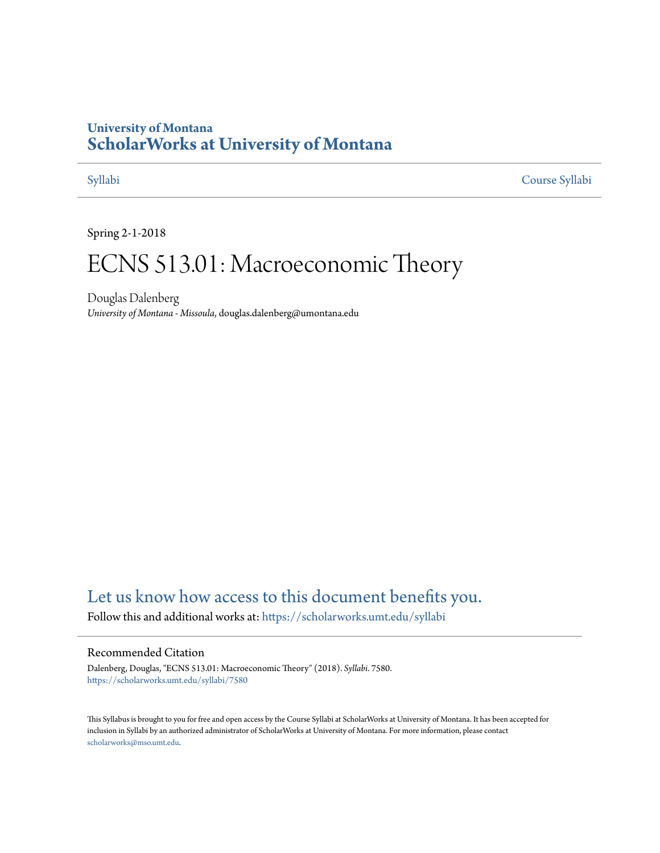## **University of Montana [ScholarWorks at University of Montana](https://scholarworks.umt.edu?utm_source=scholarworks.umt.edu%2Fsyllabi%2F7580&utm_medium=PDF&utm_campaign=PDFCoverPages)**

[Syllabi](https://scholarworks.umt.edu/syllabi?utm_source=scholarworks.umt.edu%2Fsyllabi%2F7580&utm_medium=PDF&utm_campaign=PDFCoverPages) [Course Syllabi](https://scholarworks.umt.edu/course_syllabi?utm_source=scholarworks.umt.edu%2Fsyllabi%2F7580&utm_medium=PDF&utm_campaign=PDFCoverPages)

Spring 2-1-2018

# ECNS 513.01: Macroeconomic Theory

Douglas Dalenberg *University of Montana - Missoula*, douglas.dalenberg@umontana.edu

# [Let us know how access to this document benefits you.](https://goo.gl/forms/s2rGfXOLzz71qgsB2)

Follow this and additional works at: [https://scholarworks.umt.edu/syllabi](https://scholarworks.umt.edu/syllabi?utm_source=scholarworks.umt.edu%2Fsyllabi%2F7580&utm_medium=PDF&utm_campaign=PDFCoverPages)

#### Recommended Citation

Dalenberg, Douglas, "ECNS 513.01: Macroeconomic Theory" (2018). *Syllabi*. 7580. [https://scholarworks.umt.edu/syllabi/7580](https://scholarworks.umt.edu/syllabi/7580?utm_source=scholarworks.umt.edu%2Fsyllabi%2F7580&utm_medium=PDF&utm_campaign=PDFCoverPages)

This Syllabus is brought to you for free and open access by the Course Syllabi at ScholarWorks at University of Montana. It has been accepted for inclusion in Syllabi by an authorized administrator of ScholarWorks at University of Montana. For more information, please contact [scholarworks@mso.umt.edu](mailto:scholarworks@mso.umt.edu).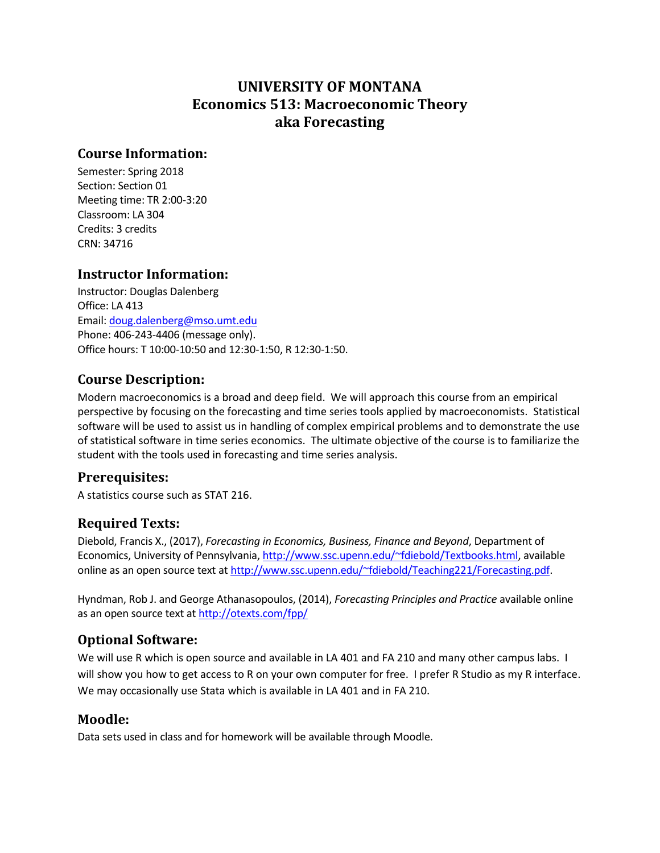# **UNIVERSITY OF MONTANA Economics 513: Macroeconomic Theory aka Forecasting**

### **Course Information:**

Semester: Spring 2018 Section: Section 01 Meeting time: TR 2:00-3:20 Classroom: LA 304 Credits: 3 credits CRN: 34716

### **Instructor Information:**

Instructor: Douglas Dalenberg Office: LA 413 Email: [doug.dalenberg@mso.umt.edu](mailto:doug.dalenberg@mso.umt.edu) Phone: 406-243-4406 (message only). Office hours: T 10:00-10:50 and 12:30-1:50, R 12:30-1:50.

### **Course Description:**

Modern macroeconomics is a broad and deep field. We will approach this course from an empirical perspective by focusing on the forecasting and time series tools applied by macroeconomists. Statistical software will be used to assist us in handling of complex empirical problems and to demonstrate the use of statistical software in time series economics. The ultimate objective of the course is to familiarize the student with the tools used in forecasting and time series analysis.

#### **Prerequisites:**

A statistics course such as STAT 216.

### **Required Texts:**

Diebold, Francis X., (2017), *Forecasting in Economics, Business, Finance and Beyond*, Department of Economics, University of Pennsylvania, [http://www.ssc.upenn.edu/~fdiebold/Textbooks.html,](http://www.ssc.upenn.edu/~fdiebold/Textbooks.html) available online as an open source text at [http://www.ssc.upenn.edu/~fdiebold/Teaching221/Forecasting.pdf.](http://www.ssc.upenn.edu/~fdiebold/Teaching221/Forecasting.pdf)

Hyndman, Rob J. and George Athanasopoulos, (2014), *Forecasting Principles and Practice* available online as an open source text a[t http://otexts.com/fpp/](http://otexts.com/fpp/)

### **Optional Software:**

We will use R which is open source and available in LA 401 and FA 210 and many other campus labs. I will show you how to get access to R on your own computer for free. I prefer R Studio as my R interface. We may occasionally use Stata which is available in LA 401 and in FA 210.

#### **Moodle:**

Data sets used in class and for homework will be available through Moodle.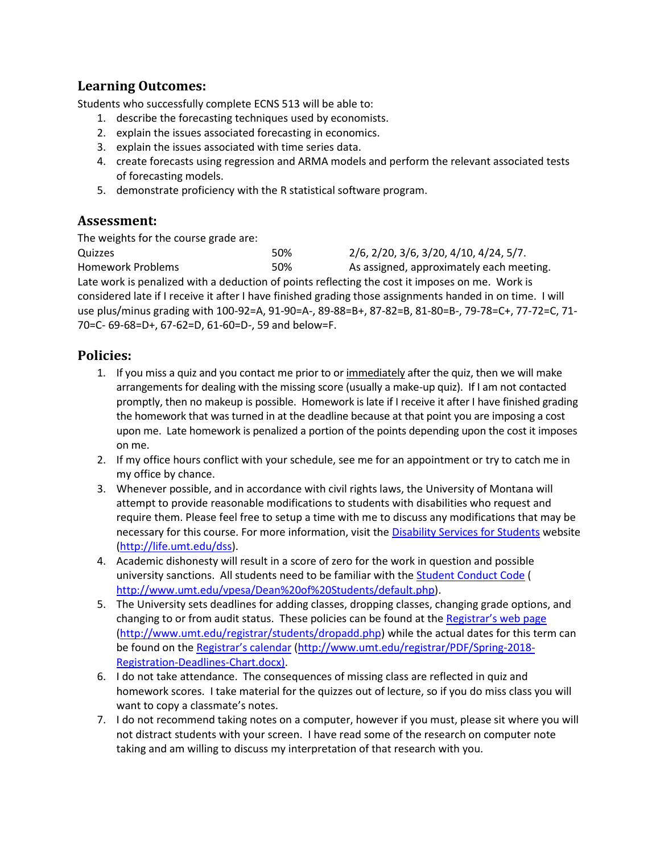#### **Learning Outcomes:**

Students who successfully complete ECNS 513 will be able to:

- 1. describe the forecasting techniques used by economists.
- 2. explain the issues associated forecasting in economics.
- 3. explain the issues associated with time series data.
- 4. create forecasts using regression and ARMA models and perform the relevant associated tests of forecasting models.
- 5. demonstrate proficiency with the R statistical software program.

### **Assessment:**

The weights for the course grade are:

Quizzes 50% 2/6, 2/20, 3/6, 3/20, 4/10, 4/24, 5/7. Homework Problems 50% As assigned, approximately each meeting. Late work is penalized with a deduction of points reflecting the cost it imposes on me. Work is considered late if I receive it after I have finished grading those assignments handed in on time. I will use plus/minus grading with 100-92=A, 91-90=A-, 89-88=B+, 87-82=B, 81-80=B-, 79-78=C+, 77-72=C, 71- 70=C- 69-68=D+, 67-62=D, 61-60=D-, 59 and below=F.

#### **Policies:**

- 1. If you miss a quiz and you contact me prior to or immediately after the quiz, then we will make arrangements for dealing with the missing score (usually a make-up quiz). If I am not contacted promptly, then no makeup is possible. Homework is late if I receive it after I have finished grading the homework that was turned in at the deadline because at that point you are imposing a cost upon me. Late homework is penalized a portion of the points depending upon the cost it imposes on me.
- 2. If my office hours conflict with your schedule, see me for an appointment or try to catch me in my office by chance.
- 3. Whenever possible, and in accordance with civil rights laws, the University of Montana will attempt to provide reasonable modifications to students with disabilities who request and require them. Please feel free to setup a time with me to discuss any modifications that may be necessary for this course. For more information, visit the [Disability Services for Students](http://life.umt.edu/dss/) website [\(http://life.umt.edu/dss\)](http://life.umt.edu/dss).
- 4. Academic dishonesty will result in a score of zero for the work in question and possible university sanctions. All students need to be familiar with th[e Student Conduct Code \(](http://www.umt.edu/vpesa/Dean%20of%20Students/default.php) [http://www.umt.edu/vpesa/Dean%20of%20Students/default.php\)](http://www.umt.edu/vpesa/Dean%20of%20Students/default.php).
- 5. The University sets deadlines for adding classes, dropping classes, changing grade options, and changing to or from audit status. These policies can be found at the [Registrar's web page](http://www.umt.edu/registrar/students/dropadd.php) [\(http://www.umt.edu/registrar/students/dropadd.php\)](http://www.umt.edu/registrar/students/dropadd.php) while the actual dates for this term can be found on the [Registrar's calendar](http://www.umt.edu/registrar/PDF/Spring-2018-Registration-Deadlines-Chart.docx) [\(http://www.umt.edu/registrar/PDF/Spring-2018-](http://www.umt.edu/registrar/PDF/Spring-2018-Registration-Deadlines-Chart.docx) [Registration-Deadlines-Chart.docx\)](http://www.umt.edu/registrar/PDF/Spring-2018-Registration-Deadlines-Chart.docx).
- 6. I do not take attendance. The consequences of missing class are reflected in quiz and homework scores. I take material for the quizzes out of lecture, so if you do miss class you will want to copy a classmate's notes.
- 7. I do not recommend taking notes on a computer, however if you must, please sit where you will not distract students with your screen. I have read some of the research on computer note taking and am willing to discuss my interpretation of that research with you.